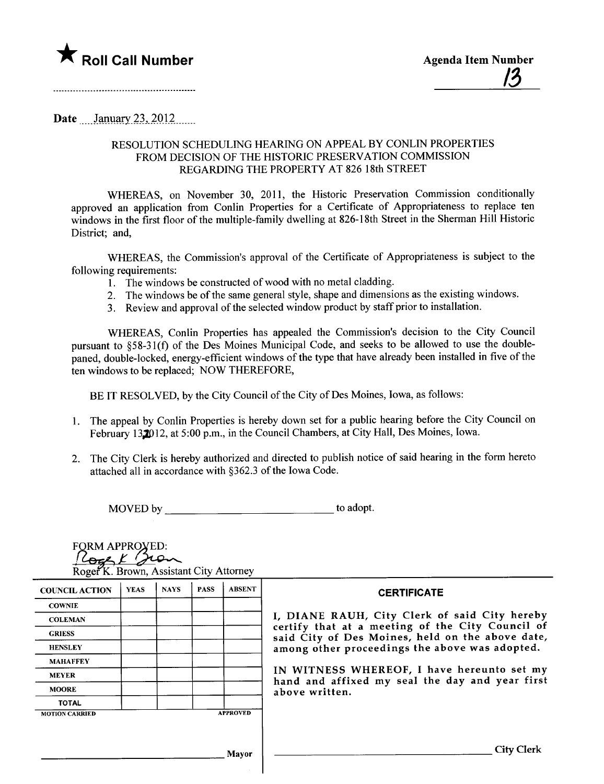

## Date *\_\_\_* January 23, 2012 \_\_\_\_\_

FORM APPROXED:

## RESOLUTION SCHEDULING HEARING ON APPEAL BY CONLIN PROPERTIES FROM DECISION OF THE HISTORIC PRESERVATION COMMISSION REGARDING THE PROPERTY AT 826 18th STREET

WHREAS, on November 30, 2011, the Historic Preservation Commission conditionally approved an application from Conlin Properties for a Certificate of Appropriateness to replace ten windows in the first floor of the multiple-family dwelling at 826-18th Street in the Sherman Hill Historic District; and,

WHREAS, the Commission's approval of the Certificate of Appropriateness is subject to the following requirements:

- 1. The windows be constructed of wood with no metal cladding.
- 2. The windows be of the same general style, shape and dimensions as the existing windows.
- 3. Review and approval of the selected window product by staff prior to installation.

WHEREAS, Conlin Properties has appealed the Commission's decision to the City Council pursuant to §58-31(f) of the Des Moines Municipal Code, and seeks to be allowed to use the doublepaned, double-locked, energy-efficient windows of the type that have already been installed in five of the ten windows to be replaced; NOW THEREFORE,

BE IT RESOLVED, by the City Council of the City of Des Moines, Iowa, as follows:

- 1. The appeal by Conlin Properties is hereby down set for a public hearing before the City Council on February 132012, at 5:00 p.m., in the Council Chambers, at City Hall, Des Moines, Iowa.
- 2. The City Clerk is hereby authorized and directed to publish notice of said hearing in the form hereto attached all in accordance with §362.3 of the Iowa Code.

MOVED by to adopt.

| <b>COWNIE</b><br>I, DIANE RAUH, City Clerk of said City hereby<br><b>COLEMAN</b><br>certify that at a meeting of the City Council of<br><b>GRIESS</b><br>said City of Des Moines, held on the above date,<br>among other proceedings the above was adopted.<br><b>HENSLEY</b><br><b>MAHAFFEY</b><br>IN WITNESS WHEREOF, I have hereunto set my<br><b>MEYER</b><br><b>MOORE</b><br>above written.<br><b>TOTAL</b><br><b>APPROVED</b><br><b>MOTION CARRIED</b> | <b>COUNCIL ACTION</b> | <b>YEAS</b> | <b>NAYS</b> | <b>PASS</b> | <b>ABSENT</b> | <b>CERTIFICATE</b> |
|--------------------------------------------------------------------------------------------------------------------------------------------------------------------------------------------------------------------------------------------------------------------------------------------------------------------------------------------------------------------------------------------------------------------------------------------------------------|-----------------------|-------------|-------------|-------------|---------------|--------------------|
|                                                                                                                                                                                                                                                                                                                                                                                                                                                              |                       |             |             |             |               |                    |
|                                                                                                                                                                                                                                                                                                                                                                                                                                                              |                       |             |             |             |               |                    |
| hand and affixed my seal the day and year first                                                                                                                                                                                                                                                                                                                                                                                                              |                       |             |             |             |               |                    |
|                                                                                                                                                                                                                                                                                                                                                                                                                                                              |                       |             |             |             |               |                    |
|                                                                                                                                                                                                                                                                                                                                                                                                                                                              |                       |             |             |             |               |                    |
|                                                                                                                                                                                                                                                                                                                                                                                                                                                              |                       |             |             |             |               |                    |
|                                                                                                                                                                                                                                                                                                                                                                                                                                                              |                       |             |             |             |               |                    |
|                                                                                                                                                                                                                                                                                                                                                                                                                                                              |                       |             |             |             |               |                    |
|                                                                                                                                                                                                                                                                                                                                                                                                                                                              |                       |             |             |             |               |                    |
|                                                                                                                                                                                                                                                                                                                                                                                                                                                              |                       |             |             |             | Mayor         | City Clerk         |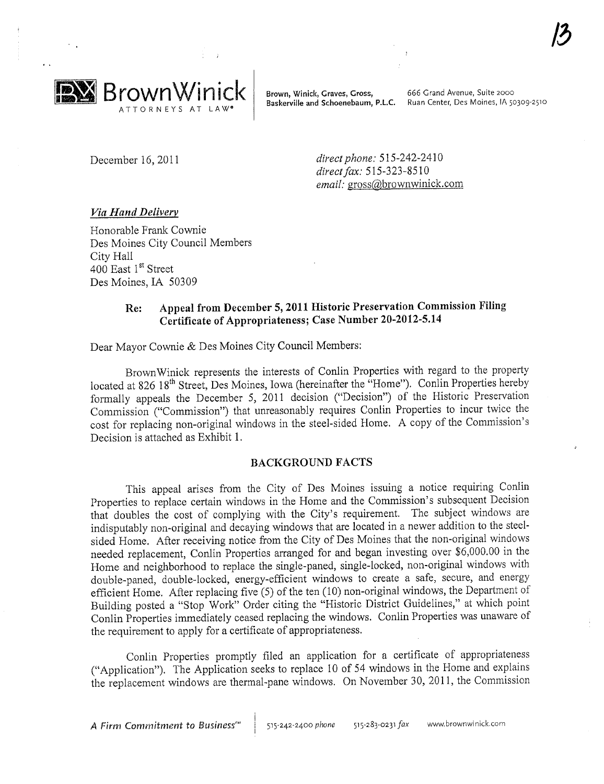

Brown, Winick, Graves, Gross, \_\_\_\_\_\_\_\_\_666 Grand Avenue, Suite 2000 Baskerville and Schoenebaum, P.L.C. Ruan Center, Des Moines, IA 50309-2510

December 16, 2011 direct phone: 515-242-2410 direct fax: 515-323-8510 email: gross@brownwinick.com

### Via Hand Deliverv

Honorable Prank Cownie Des Moines City Council Members City Hall 400 East 1<sup>st</sup> Street Des Moines, IA 50309

## Re: Appeal from December 5, 2011 Historic Preservation Commission Filng Certificate of Appropriateness; Case Number 20-2012-5.14

Dear Mayor Cownie & Des Moines City Council Members:

Brown Winick represents the interests of Conlin Properties with regard to the property located at 826 18<sup>th</sup> Street, Des Moines, Iowa (hereinafter the "Home"). Conlin Properties hereby formally appeals the December 5, 2011 decision ("Decision") of the Historic Preservation Commission ("Commission") that umeasonably requires Conlin Properties to incur twice the cost for replacing non-original windows in the steel-sided Home. A copy of the Commission's Decision is attached as Exhibit 1.

#### BACKGROUND FACTS

This appeal arises from the City of Des Moines issuing a notice requiring Conlin Properties to replace certain windows in the Home and the Commission's subsequent Decision that doubles the cost of complying with the City's requirement. The subject windows are indisputably non-original and decaying windows that are located in a newer addition to the steelsided Home. After receiving notice from the City of Des Moines that the non-original windows needed replacement, Conlin Properties arranged for and began investing over \$6,000.00 in the Home and neighborhood to replace the single-paned, single-locked, non-original windows with double-paned, double-locked, energy-efficient windows to create a safe, secure, and energy efficient Home. After replacing five (5) of the ten (10) non-original windows, the Department of Building posted a "Stop Work" Order citing the "Historic District Guidelines," at which point Conlin Properties immediately ceased replacing the windows. Conlin Properties was unaware of the requirement to apply for a certificate of appropriateness.

Conlin Properties promptly fied an application for a certificate of appropriateness ("Application"). The Application seeks to replace 10 of 54 windows in the Home and explains the replacement windows are thermal-pane windows. On November 30, 2011, the Commission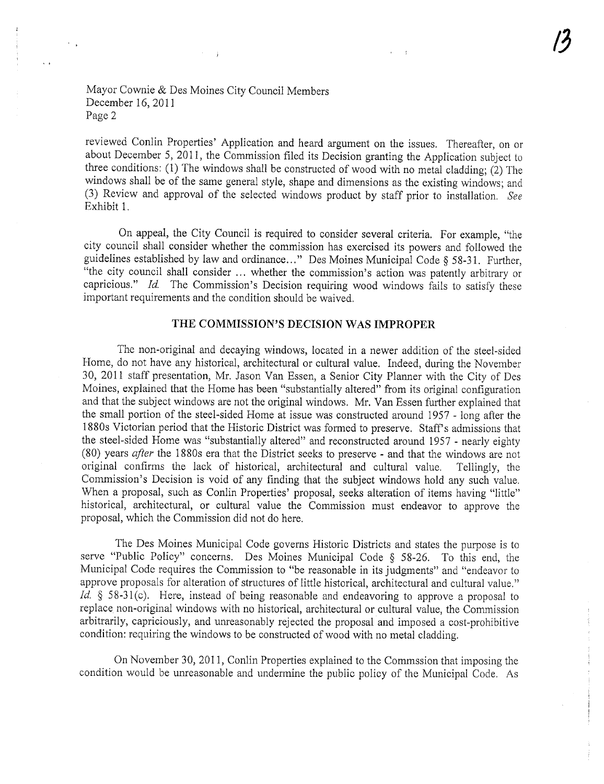#### Mayor Cownie & Des Moines City Council Members December 16, 2011 Page 2

 $\lambda_{\rm max}$ 

reviewed Conlin Properties' Application and heard argument on the issues. Thereafter, on or about December 5, 2011, the Commission filed its Decision granting the Application subject to three conditions: (1) The windows shall be constructed of wood with no metal cladding; (2) The windows shall be of the same general style, shape and dimensions as the existing windows; and (3) Review and approval of the selected windows product by staff prior to installation. See Exhibit 1.

On appeal, the City Council is required to consider several criteria. For example, "the city council shall consider whether the commission has exercised its powers and followed the guidelines established by law and ordinance..." Des Moines Municipal Code § 58-31. Further, "the city council shall consider... whether the commission's action was patently arbitrary or capricious." Id. The Commission's Decision requiring wood windows fails to satisfy these important requirements and the condition should be waived.

## THE COMMISSION'S DECISION WAS IMPROPER

The non-original and decaying windows, located in a newer addition of the steel-sided Home, do not have any historical, architectural or cultural value. Indeed, during the November 30, 2011 staff presentation, Mr. Jason Van Essen, a Senior City Planner with the City of Des Moines, explained that the Home has been "substantially altered" from its original configuration and that the subject windows are not the original windows. Mr. Van Essen further explained that the small portion of the steel-sided Home at issue was constructed around 1957 - long after the 1880s Victorian period that the Historic District was formed to preserve. Staff's admissions that the steel-sided Home was "substantially altered" and reconstructed around 1957 - nearly eighty (80) years *after* the 1880s era that the District seeks to preserve - and that the windows are not original confirms the lack of historical, architectural and cultural value. Tellingly, the original confirms the lack of historical, architectural and cultural value. Commission's Decision is void of any finding that the subject windows hold any such value. When a proposal, such as Conlin Properties' proposal, seeks alteration of items having "little" historical, architectural, or cultural value the Commission must endeavor to approve the proposal, which the Commission did not do here.

The Des Moines Municipal Code governs Historic Districts and states the purpose is to serve "Public Policy" concerns. Des Moines Municipal Code § 58-26. To this end, the Municipal Code requires the Commission to "be reasonable in its judgments" and "endeavor to approve proposals for alteration of structures of little historical, architectural and cultural value." Id.  $\S$  58-31(c). Here, instead of being reasonable and endeavoring to approve a proposal to replace non-original windows with no historical, architectural or cultural value, the Commission arbitrarily, capriciously, and umeasonably rejected the proposal and imposed a cost-prohibitive condition: requiring the windows to be constructed of wood with no metal cladding.

On November 30, 2011, Conlin Properties explained to the Commssion that imposing the condition would be unreasonable and undermine the public policy of the Municipal Code. As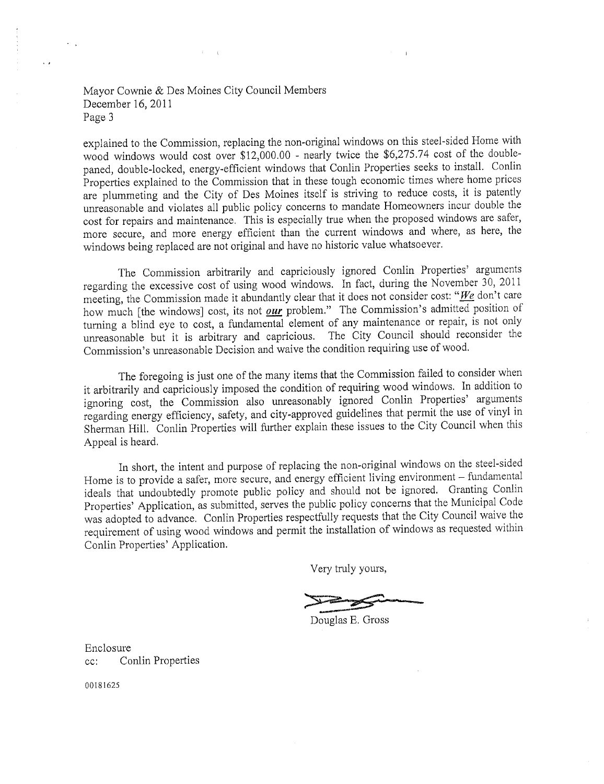### Mayor Cownie & Des Moines City Council Members December 16, 2011 Page 3

explained to the Commission, replacing the non-original windows on this steel-sided Home with wood windows would cost over \$12,000.00 - nearly twice the \$6,275.74 cost of the doublepaned, double-locked, energy-efficient windows that Conlin Properties seeks to instalL. Conlin Properties explained to the Commission that in these tough economic times where home prices are plummeting and the City of Des Moines itself is striving to reduce costs, it is patently umeasonable and violates all public policy concerns to mandate Homeowners incur double the cost for repairs and maintenance. This is especially true when the proposed windows are safer, more secure, and more energy efficient than the current windows and where, as here, the windows being replaced are not original and have no historic value whatsoever.

The Commission arbitrarily and capriciously ignored Conlin Properties' arguments regarding the excessive cost of using wood windows. In fact, during the November 30, 2011 meeting, the Commission made it abundantly clear that it does not consider cost: "We don't care how much [the windows] cost, its not  $\rho$ ur problem." The Commission's admitted position of turning a blind eye to cost, a fundamental element of any maintenance or repair, is not only unreasonable but it is arbitrary and capricious. The City Council should reconsider the Commission's umeasonable Decision and waive the condition requiring use of wood.

The foregoing is just one of the many items that the Commission failed to consider when it arbitrarily and capriciously imposed the condition of requiring wood windows. In addition to ignoring cost, the Commission also umeasonably ignored Conlin Properties' arguments regarding energy efficiency, safety, and city-approved guidelines that permit the use of vinyl in Sherman HilL. Conlin Properties wil further explain these issues to the City Council when this Appeal is heard.

In short, the intent and purpose of replacing the non-original windows on the steel-sided Home is to provide a safer, more secure, and energy efficient living environment - fundamental ideals that undoubtedly promote public policy and should not be ignored. Granting Conlin Properties' Application, as submitted, serves the public policy concerns that the Municipal Code was adopted to advance. Conlin Properties respectfully requests that the City Council waive the requirement of using wood windows and permit the installation of windows as requested within Conlin Properties' Application.

Very truly yours,

Douglas E. Gross

Enclosure cc: Conlin Properties

00181625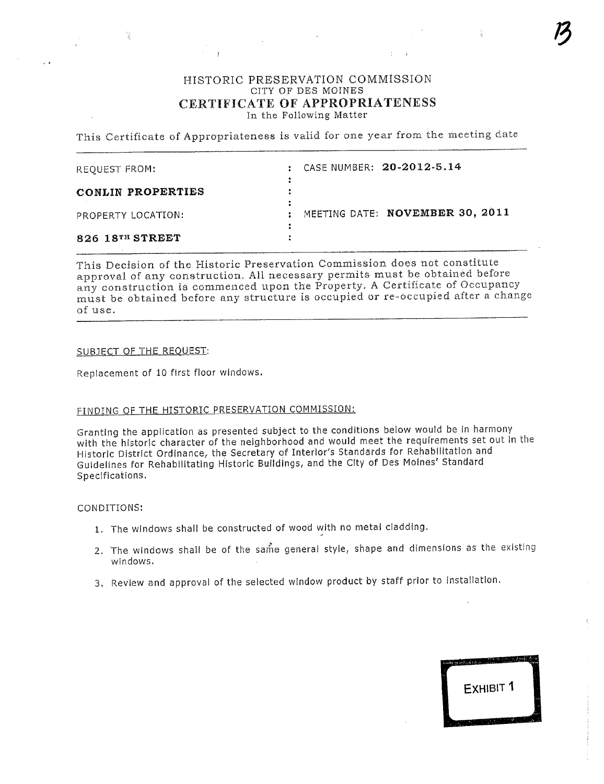#### HISTORIC PRESERVATION COMMÌSSION CITY OF DES MOINES CERTIFICATE OF APPROPRIATENESS In the Following Matter

 $\mathcal{L}^{\text{max}}_{\text{max}}$  ,  $\mathcal{L}^{\text{max}}_{\text{max}}$ 

This Certificate of Appropriateness is valid for one year from the meeting date

| REQUEST FROM:      | $\mathbf{r}$ | CASE NUMBER: 20-2012-5.14       |
|--------------------|--------------|---------------------------------|
| CONLIN PROPERTIES  |              |                                 |
| PROPERTY LOCATION: |              | MEETING DATE: NOVEMBER 30, 2011 |
| 826 18TH STREET    |              |                                 |

This Decision of the Historic Preservation Commission does not constitute approval of any construction. All necessary permits must be obtained before any construction is commenced upon the Property. A Certificate of Occupancy must be óbtained before any structure is occupied or rc-occupied after a change of use.

#### SUBJECT OF THE REQUEST:

Replacement of 10 first floor windows.

### FINDING OF THE HISTORIC PRESERVATION COMMISSION:

 $\pm$  -  $T$ 

Granting the application as presented subject to the conditions below would be in harmony with the historic character of the neighborhood and would meet the requirements set out in the Historic District Ordinance, the Secretary of Interior's Standards for Rehabilitation and Guidelines for Rehabilitating Historic Buildings, and the City of Des Moines' Standard Specifications.

#### CONDITIONS:

- 1. The windows shall be constructed of wood with no metal cladding.
- 2. The windows shall be of the same general style, shape and dimensions as the existing windows.
- 3. Review and approval of the selected window product by staff prior to installation.



 $\mathcal{L}$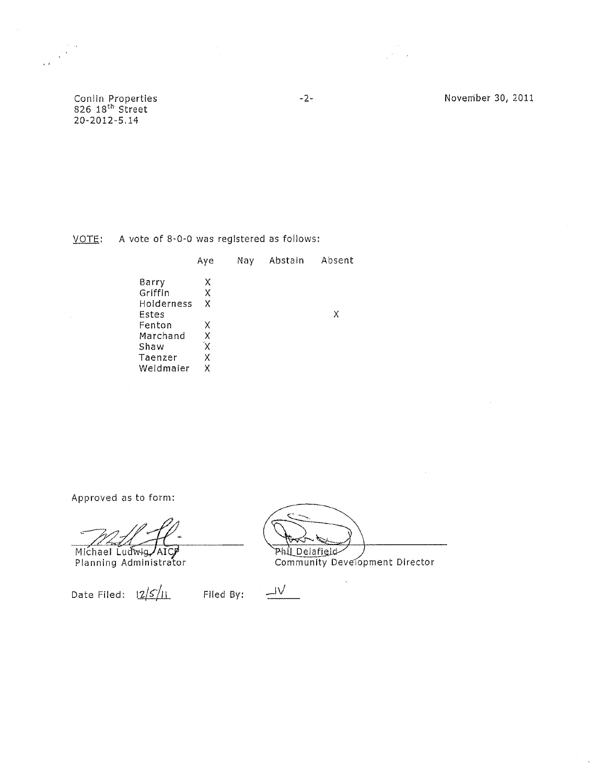Conlin Properties<br>826 18<sup>th</sup> Street<br>20-2012-5.14

November 30, 2011

VOTE: A vote of 8-0-0 was registered as follows:

|                     | Aye | Nay | Abstain | Absent |
|---------------------|-----|-----|---------|--------|
| Barry               | х   |     |         |        |
| Griffin             | X   |     |         |        |
| Holderness<br>Estes | x   |     |         | Χ      |
| Fenton              | x   |     |         |        |
| Marchand            | Χ   |     |         |        |
| Shaw                | χ   |     |         |        |
| Taenzer             | X   |     |         |        |
| Weidmaier           | Χ   |     |         |        |

Approved as to form:

Michael Ludwig AICP<br>Planning Administrator

Date Filed:  $\frac{2}{5}$ 

Phil Delafield

 $\frac{\underline{\hbox{1}\nu}}{\underline{\hbox{1}\nu}}$ Filed By: